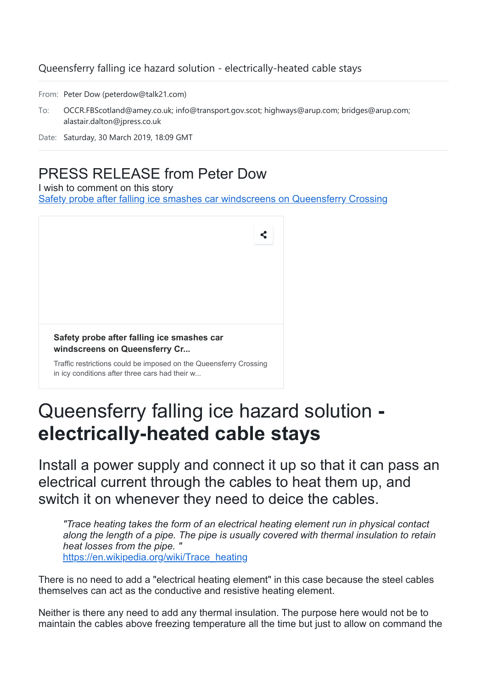### Queensferry falling ice hazard solution - electrically-heated cable stays

From: Peter Dow (peterdow@talk21.com)

To: OCCR.FBScotland@amey.co.uk; info@transport.gov.scot; highways@arup.com; bridges@arup.com; alastair.dalton@jpress.co.uk

### PRESS RELEASE from Peter Dow

I wish to comment on this story

[Safety probe after falling ice smashes car windscreens on Queensferry Crossing](https://www.scotsman.com/news/transport/safety-probe-after-falling-ice-smashes-car-windscreens-on-queensferry-crossing-1-4898526)



## Queensferry falling ice hazard solution **electrically-heated cable stays**

Install a power supply and connect it up so that it can pass an electrical current through the cables to heat them up, and switch it on whenever they need to deice the cables.

*"Trace heating takes the form of an electrical heating element run in physical contact along the length of a pipe. The pipe is usually covered with thermal insulation to retain heat losses from the pipe. "* [https://en.wikipedia.org/wiki/Trace\\_heating](https://en.wikipedia.org/wiki/Trace_heating)

There is no need to add a "electrical heating element" in this case because the steel cables themselves can act as the conductive and resistive heating element.

Neither is there any need to add any thermal insulation. The purpose here would not be to maintain the cables above freezing temperature all the time but just to allow on command the

Date: Saturday, 30 March 2019, 18:09 GMT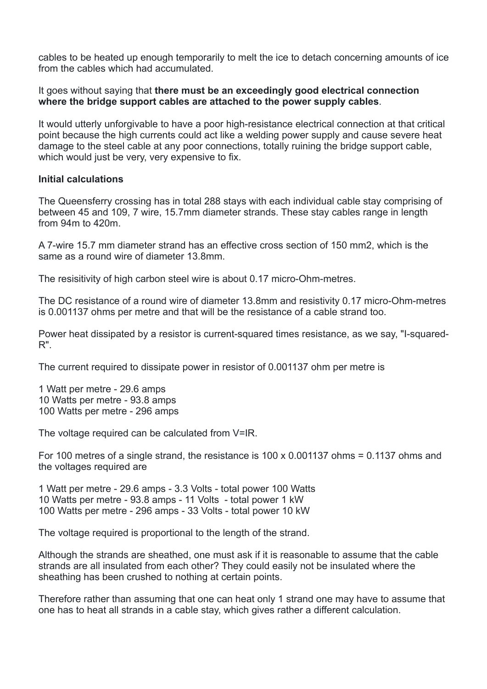cables to be heated up enough temporarily to melt the ice to detach concerning amounts of ice from the cables which had accumulated.

It goes without saying that **there must be an exceedingly good electrical connection where the bridge support cables are attached to the power supply cables**.

It would utterly unforgivable to have a poor high-resistance electrical connection at that critical point because the high currents could act like a welding power supply and cause severe heat damage to the steel cable at any poor connections, totally ruining the bridge support cable, which would just be very, very expensive to fix.

#### **Initial calculations**

The Queensferry crossing has in total 288 stays with each individual cable stay comprising of between 45 and 109, 7 wire, 15.7mm diameter strands. These stay cables range in length from 94m to 420m.

A 7-wire 15.7 mm diameter strand has an effective cross section of 150 mm2, which is the same as a round wire of diameter 13.8mm.

The resisitivity of high carbon steel wire is about 0.17 micro-Ohm-metres.

The DC resistance of a round wire of diameter 13.8mm and resistivity 0.17 micro-Ohm-metres is 0.001137 ohms per metre and that will be the resistance of a cable strand too.

Power heat dissipated by a resistor is current-squared times resistance, as we say, "I-squared-R".

The current required to dissipate power in resistor of 0.001137 ohm per metre is

1 Watt per metre - 29.6 amps 10 Watts per metre - 93.8 amps 100 Watts per metre - 296 amps

The voltage required can be calculated from V=IR.

For 100 metres of a single strand, the resistance is  $100 \times 0.001137$  ohms = 0.1137 ohms and the voltages required are

1 Watt per metre - 29.6 amps - 3.3 Volts - total power 100 Watts 10 Watts per metre - 93.8 amps - 11 Volts - total power 1 kW 100 Watts per metre - 296 amps - 33 Volts - total power 10 kW

The voltage required is proportional to the length of the strand.

Although the strands are sheathed, one must ask if it is reasonable to assume that the cable strands are all insulated from each other? They could easily not be insulated where the sheathing has been crushed to nothing at certain points.

Therefore rather than assuming that one can heat only 1 strand one may have to assume that one has to heat all strands in a cable stay, which gives rather a different calculation.